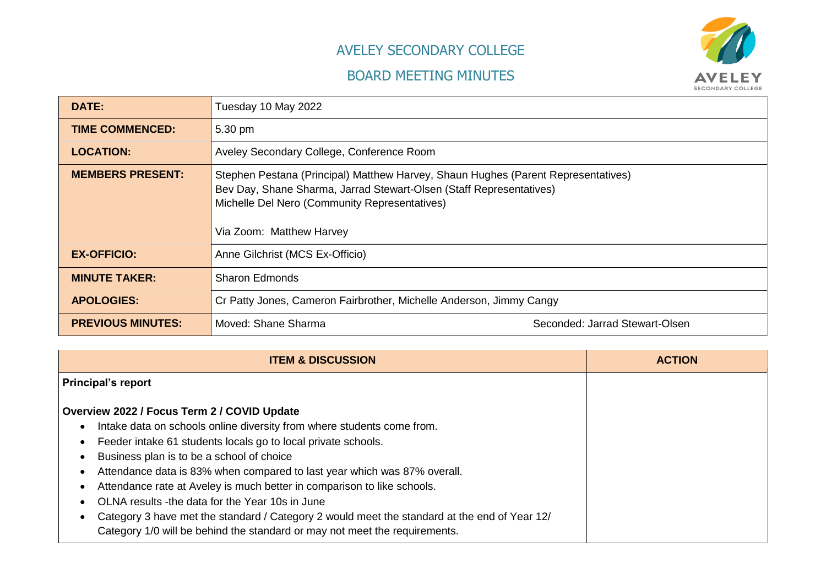## AVELEY SECONDARY COLLEGE

## BOARD MEETING MINUTES



| <b>DATE:</b>             | Tuesday 10 May 2022                                                                                                                                                                                                                   |                                |
|--------------------------|---------------------------------------------------------------------------------------------------------------------------------------------------------------------------------------------------------------------------------------|--------------------------------|
| <b>TIME COMMENCED:</b>   | 5.30 pm                                                                                                                                                                                                                               |                                |
| <b>LOCATION:</b>         | Aveley Secondary College, Conference Room                                                                                                                                                                                             |                                |
| <b>MEMBERS PRESENT:</b>  | Stephen Pestana (Principal) Matthew Harvey, Shaun Hughes (Parent Representatives)<br>Bev Day, Shane Sharma, Jarrad Stewart-Olsen (Staff Representatives)<br>Michelle Del Nero (Community Representatives)<br>Via Zoom: Matthew Harvey |                                |
| <b>EX-OFFICIO:</b>       | Anne Gilchrist (MCS Ex-Officio)                                                                                                                                                                                                       |                                |
| <b>MINUTE TAKER:</b>     | <b>Sharon Edmonds</b>                                                                                                                                                                                                                 |                                |
| <b>APOLOGIES:</b>        | Cr Patty Jones, Cameron Fairbrother, Michelle Anderson, Jimmy Cangy                                                                                                                                                                   |                                |
| <b>PREVIOUS MINUTES:</b> | Moved: Shane Sharma                                                                                                                                                                                                                   | Seconded: Jarrad Stewart-Olsen |

| <b>ITEM &amp; DISCUSSION</b>                                                                                                                                                            | <b>ACTION</b> |
|-----------------------------------------------------------------------------------------------------------------------------------------------------------------------------------------|---------------|
| <b>Principal's report</b>                                                                                                                                                               |               |
| Overview 2022 / Focus Term 2 / COVID Update                                                                                                                                             |               |
| Intake data on schools online diversity from where students come from.<br>$\bullet$                                                                                                     |               |
| Feeder intake 61 students locals go to local private schools.<br>$\bullet$                                                                                                              |               |
| Business plan is to be a school of choice<br>$\bullet$                                                                                                                                  |               |
| Attendance data is 83% when compared to last year which was 87% overall.<br>$\bullet$                                                                                                   |               |
| Attendance rate at Aveley is much better in comparison to like schools.                                                                                                                 |               |
| OLNA results -the data for the Year 10s in June                                                                                                                                         |               |
| Category 3 have met the standard / Category 2 would meet the standard at the end of Year 12/<br>$\bullet$<br>Category 1/0 will be behind the standard or may not meet the requirements. |               |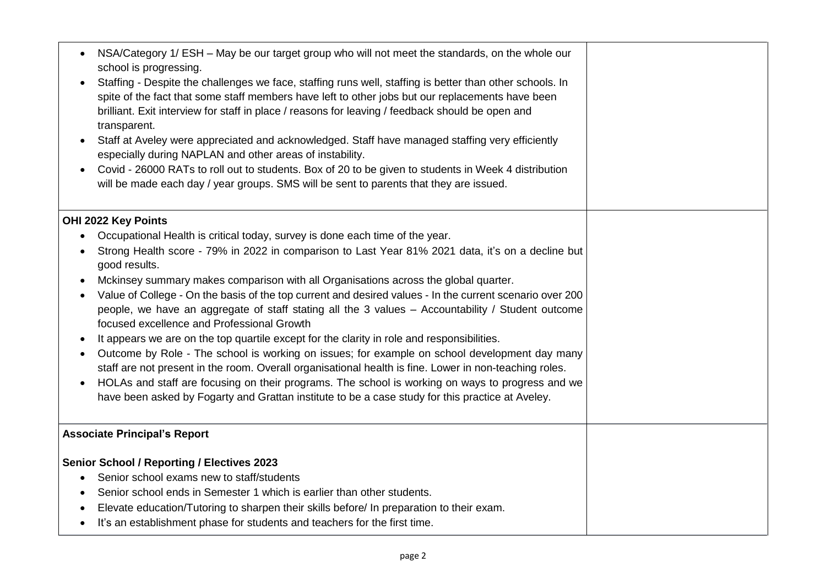| NSA/Category 1/ ESH - May be our target group who will not meet the standards, on the whole our<br>$\bullet$<br>school is progressing.<br>Staffing - Despite the challenges we face, staffing runs well, staffing is better than other schools. In<br>spite of the fact that some staff members have left to other jobs but our replacements have been<br>brilliant. Exit interview for staff in place / reasons for leaving / feedback should be open and<br>transparent.<br>Staff at Aveley were appreciated and acknowledged. Staff have managed staffing very efficiently<br>$\bullet$<br>especially during NAPLAN and other areas of instability.<br>Covid - 26000 RATs to roll out to students. Box of 20 to be given to students in Week 4 distribution<br>$\bullet$<br>will be made each day / year groups. SMS will be sent to parents that they are issued. |  |
|-----------------------------------------------------------------------------------------------------------------------------------------------------------------------------------------------------------------------------------------------------------------------------------------------------------------------------------------------------------------------------------------------------------------------------------------------------------------------------------------------------------------------------------------------------------------------------------------------------------------------------------------------------------------------------------------------------------------------------------------------------------------------------------------------------------------------------------------------------------------------|--|
| OHI 2022 Key Points                                                                                                                                                                                                                                                                                                                                                                                                                                                                                                                                                                                                                                                                                                                                                                                                                                                   |  |
| Occupational Health is critical today, survey is done each time of the year.<br>$\bullet$                                                                                                                                                                                                                                                                                                                                                                                                                                                                                                                                                                                                                                                                                                                                                                             |  |
| Strong Health score - 79% in 2022 in comparison to Last Year 81% 2021 data, it's on a decline but<br>$\bullet$<br>good results.                                                                                                                                                                                                                                                                                                                                                                                                                                                                                                                                                                                                                                                                                                                                       |  |
| Mckinsey summary makes comparison with all Organisations across the global quarter.<br>$\bullet$                                                                                                                                                                                                                                                                                                                                                                                                                                                                                                                                                                                                                                                                                                                                                                      |  |
| Value of College - On the basis of the top current and desired values - In the current scenario over 200<br>$\bullet$<br>people, we have an aggregate of staff stating all the 3 values - Accountability / Student outcome<br>focused excellence and Professional Growth                                                                                                                                                                                                                                                                                                                                                                                                                                                                                                                                                                                              |  |
| It appears we are on the top quartile except for the clarity in role and responsibilities.<br>$\bullet$                                                                                                                                                                                                                                                                                                                                                                                                                                                                                                                                                                                                                                                                                                                                                               |  |
| Outcome by Role - The school is working on issues; for example on school development day many<br>$\bullet$                                                                                                                                                                                                                                                                                                                                                                                                                                                                                                                                                                                                                                                                                                                                                            |  |
| staff are not present in the room. Overall organisational health is fine. Lower in non-teaching roles.                                                                                                                                                                                                                                                                                                                                                                                                                                                                                                                                                                                                                                                                                                                                                                |  |
| HOLAs and staff are focusing on their programs. The school is working on ways to progress and we<br>$\bullet$                                                                                                                                                                                                                                                                                                                                                                                                                                                                                                                                                                                                                                                                                                                                                         |  |
| have been asked by Fogarty and Grattan institute to be a case study for this practice at Aveley.                                                                                                                                                                                                                                                                                                                                                                                                                                                                                                                                                                                                                                                                                                                                                                      |  |
| <b>Associate Principal's Report</b>                                                                                                                                                                                                                                                                                                                                                                                                                                                                                                                                                                                                                                                                                                                                                                                                                                   |  |
| <b>Senior School / Reporting / Electives 2023</b>                                                                                                                                                                                                                                                                                                                                                                                                                                                                                                                                                                                                                                                                                                                                                                                                                     |  |
| Senior school exams new to staff/students<br>٠                                                                                                                                                                                                                                                                                                                                                                                                                                                                                                                                                                                                                                                                                                                                                                                                                        |  |
| Senior school ends in Semester 1 which is earlier than other students.<br>$\bullet$                                                                                                                                                                                                                                                                                                                                                                                                                                                                                                                                                                                                                                                                                                                                                                                   |  |
| Elevate education/Tutoring to sharpen their skills before/ In preparation to their exam.<br>$\bullet$                                                                                                                                                                                                                                                                                                                                                                                                                                                                                                                                                                                                                                                                                                                                                                 |  |
| It's an establishment phase for students and teachers for the first time.<br>$\bullet$                                                                                                                                                                                                                                                                                                                                                                                                                                                                                                                                                                                                                                                                                                                                                                                |  |
|                                                                                                                                                                                                                                                                                                                                                                                                                                                                                                                                                                                                                                                                                                                                                                                                                                                                       |  |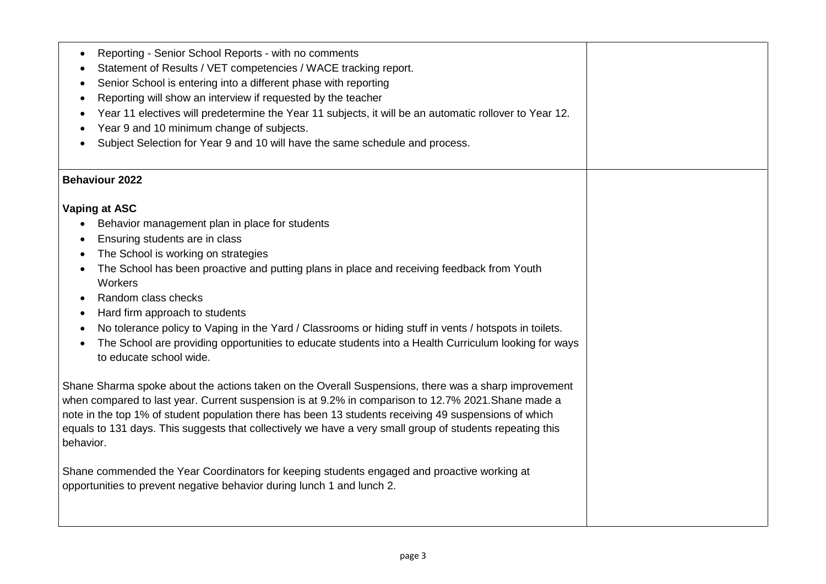| Reporting - Senior School Reports - with no comments<br>$\bullet$<br>Statement of Results / VET competencies / WACE tracking report.<br>Senior School is entering into a different phase with reporting<br>٠<br>Reporting will show an interview if requested by the teacher<br>Year 11 electives will predetermine the Year 11 subjects, it will be an automatic rollover to Year 12.<br>Year 9 and 10 minimum change of subjects.<br>Subject Selection for Year 9 and 10 will have the same schedule and process.                                                                                                                                                                                                                                                                                                                                                                                                                                                                                                                 |  |
|-------------------------------------------------------------------------------------------------------------------------------------------------------------------------------------------------------------------------------------------------------------------------------------------------------------------------------------------------------------------------------------------------------------------------------------------------------------------------------------------------------------------------------------------------------------------------------------------------------------------------------------------------------------------------------------------------------------------------------------------------------------------------------------------------------------------------------------------------------------------------------------------------------------------------------------------------------------------------------------------------------------------------------------|--|
| <b>Behaviour 2022</b>                                                                                                                                                                                                                                                                                                                                                                                                                                                                                                                                                                                                                                                                                                                                                                                                                                                                                                                                                                                                               |  |
| Vaping at ASC<br>Behavior management plan in place for students<br>Ensuring students are in class<br>$\bullet$<br>The School is working on strategies<br>The School has been proactive and putting plans in place and receiving feedback from Youth<br>Workers<br>Random class checks<br>$\bullet$<br>Hard firm approach to students<br>$\bullet$<br>No tolerance policy to Vaping in the Yard / Classrooms or hiding stuff in vents / hotspots in toilets.<br>The School are providing opportunities to educate students into a Health Curriculum looking for ways<br>to educate school wide.<br>Shane Sharma spoke about the actions taken on the Overall Suspensions, there was a sharp improvement<br>when compared to last year. Current suspension is at 9.2% in comparison to 12.7% 2021. Shane made a<br>note in the top 1% of student population there has been 13 students receiving 49 suspensions of which<br>equals to 131 days. This suggests that collectively we have a very small group of students repeating this |  |
| behavior.<br>Shane commended the Year Coordinators for keeping students engaged and proactive working at<br>opportunities to prevent negative behavior during lunch 1 and lunch 2.                                                                                                                                                                                                                                                                                                                                                                                                                                                                                                                                                                                                                                                                                                                                                                                                                                                  |  |